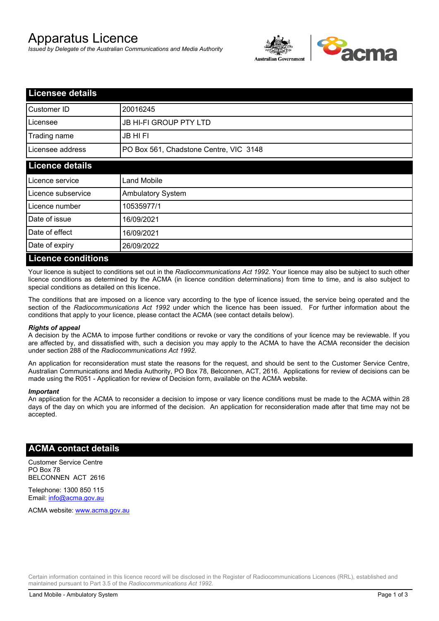# Apparatus Licence

*Issued by Delegate of the Australian Communications and Media Authority*



| <b>Licensee details</b>   |                                        |  |  |
|---------------------------|----------------------------------------|--|--|
| Customer ID               | 20016245                               |  |  |
| Licensee                  | <b>JB HI-FI GROUP PTY LTD</b>          |  |  |
| Trading name              | <b>JB HIFI</b>                         |  |  |
| Licensee address          | PO Box 561, Chadstone Centre, VIC 3148 |  |  |
| <b>Licence details</b>    |                                        |  |  |
| Licence service           | <b>Land Mobile</b>                     |  |  |
| Licence subservice        | <b>Ambulatory System</b>               |  |  |
| Licence number            | 10535977/1                             |  |  |
| Date of issue             | 16/09/2021                             |  |  |
| Date of effect            | 16/09/2021                             |  |  |
| Date of expiry            | 26/09/2022                             |  |  |
| <b>Licence conditions</b> |                                        |  |  |

Your licence is subject to conditions set out in the *Radiocommunications Act 1992*. Your licence may also be subject to such other licence conditions as determined by the ACMA (in licence condition determinations) from time to time, and is also subject to special conditions as detailed on this licence.

The conditions that are imposed on a licence vary according to the type of licence issued, the service being operated and the section of the *Radiocommunications Act 1992* under which the licence has been issued. For further information about the conditions that apply to your licence, please contact the ACMA (see contact details below).

#### *Rights of appeal*

A decision by the ACMA to impose further conditions or revoke or vary the conditions of your licence may be reviewable. If you are affected by, and dissatisfied with, such a decision you may apply to the ACMA to have the ACMA reconsider the decision under section 288 of the *Radiocommunications Act 1992*.

An application for reconsideration must state the reasons for the request, and should be sent to the Customer Service Centre, Australian Communications and Media Authority, PO Box 78, Belconnen, ACT, 2616. Applications for review of decisions can be made using the R051 - Application for review of Decision form, available on the ACMA website.

#### *Important*

An application for the ACMA to reconsider a decision to impose or vary licence conditions must be made to the ACMA within 28 days of the day on which you are informed of the decision. An application for reconsideration made after that time may not be accepted.

### **ACMA contact details**

Customer Service Centre PO Box 78 BELCONNEN ACT 2616

Telephone: 1300 850 115 Email: info@acma.gov.au

ACMA website: www.acma.gov.au

Certain information contained in this licence record will be disclosed in the Register of Radiocommunications Licences (RRL), established and maintained pursuant to Part 3.5 of the *Radiocommunications Act 1992.*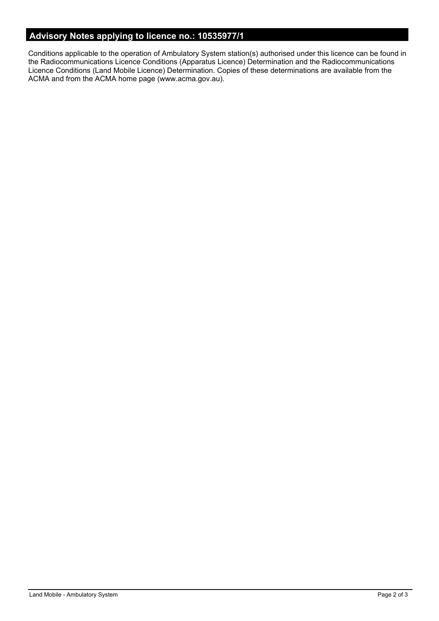# **Advisory Notes applying to licence no.: 10535977/1**

Conditions applicable to the operation of Ambulatory System station(s) authorised under this licence can be found in the Radiocommunications Licence Conditions (Apparatus Licence) Determination and the Radiocommunications Licence Conditions (Land Mobile Licence) Determination. Copies of these determinations are available from the ACMA and from the ACMA home page (www.acma.gov.au).